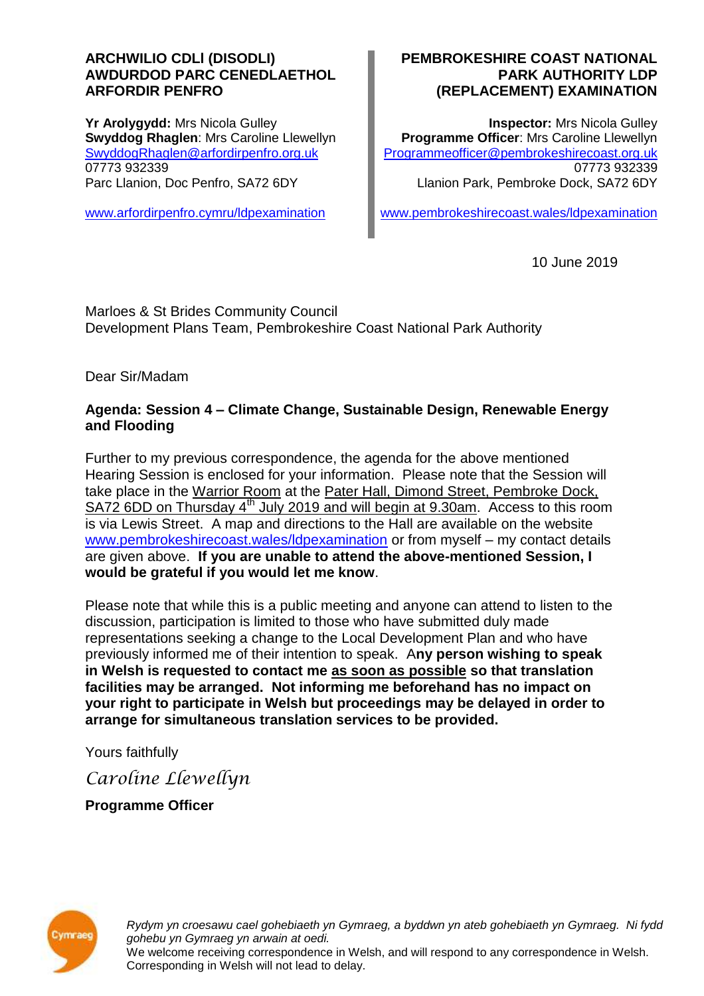#### **ARCHWILIO CDLl (DISODLI) AWDURDOD PARC CENEDLAETHOL ARFORDIR PENFRO**

**Yr Arolygydd:** Mrs Nicola Gulley **Swyddog Rhaglen**: Mrs Caroline Llewellyn [SwyddogRhaglen@arfordirpenfro.org.uk](mailto:SwyddogRhaglen@arfordirpenfro.org.uk) 07773 932339 Parc Llanion, Doc Penfro, SA72 6DY

[www.arfordirpenfro.cymru/ldpexamination](https://www.arfordirpenfro.cymru/ldpexamination)

#### **PEMBROKESHIRE COAST NATIONAL PARK AUTHORITY LDP (REPLACEMENT) EXAMINATION**

**Inspector:** Mrs Nicola Gulley **Programme Officer**: Mrs Caroline Llewellyn [Programmeofficer@pembrokeshirecoast.org.uk](mailto:Programmeofficer@pembrokeshirecoast.org.uk) 07773 932339 Llanion Park, Pembroke Dock, SA72 6DY

[www.pembrokeshirecoast.wales/ldpexamination](https://www.pembrokeshirecoast.wales/ldpexamination)

10 June 2019

Marloes & St Brides Community Council Development Plans Team, Pembrokeshire Coast National Park Authority

Dear Sir/Madam

## **Agenda: Session 4 – Climate Change, Sustainable Design, Renewable Energy and Flooding**

Further to my previous correspondence, the agenda for the above mentioned Hearing Session is enclosed for your information. Please note that the Session will take place in the Warrior Room at the Pater Hall, Dimond Street, Pembroke Dock, SA72 6DD on Thursday 4<sup>th</sup> July 2019 and will begin at 9.30am. Access to this room is via Lewis Street. A map and directions to the Hall are available on the website [www.pembrokeshirecoast.wales/ldpexamination](https://www.pembrokeshirecoast.wales/ldpexamination) or from myself – my contact details are given above. **If you are unable to attend the above-mentioned Session, I would be grateful if you would let me know**.

Please note that while this is a public meeting and anyone can attend to listen to the discussion, participation is limited to those who have submitted duly made representations seeking a change to the Local Development Plan and who have previously informed me of their intention to speak. A**ny person wishing to speak in Welsh is requested to contact me as soon as possible so that translation facilities may be arranged. Not informing me beforehand has no impact on your right to participate in Welsh but proceedings may be delayed in order to arrange for simultaneous translation services to be provided.**

Yours faithfully

*Caroline Llewellyn*

**Programme Officer**



*Rydym yn croesawu cael gohebiaeth yn Gymraeg, a byddwn yn ateb gohebiaeth yn Gymraeg. Ni fydd gohebu yn Gymraeg yn arwain at oedi.* We welcome receiving correspondence in Welsh, and will respond to any correspondence in Welsh. Corresponding in Welsh will not lead to delay.